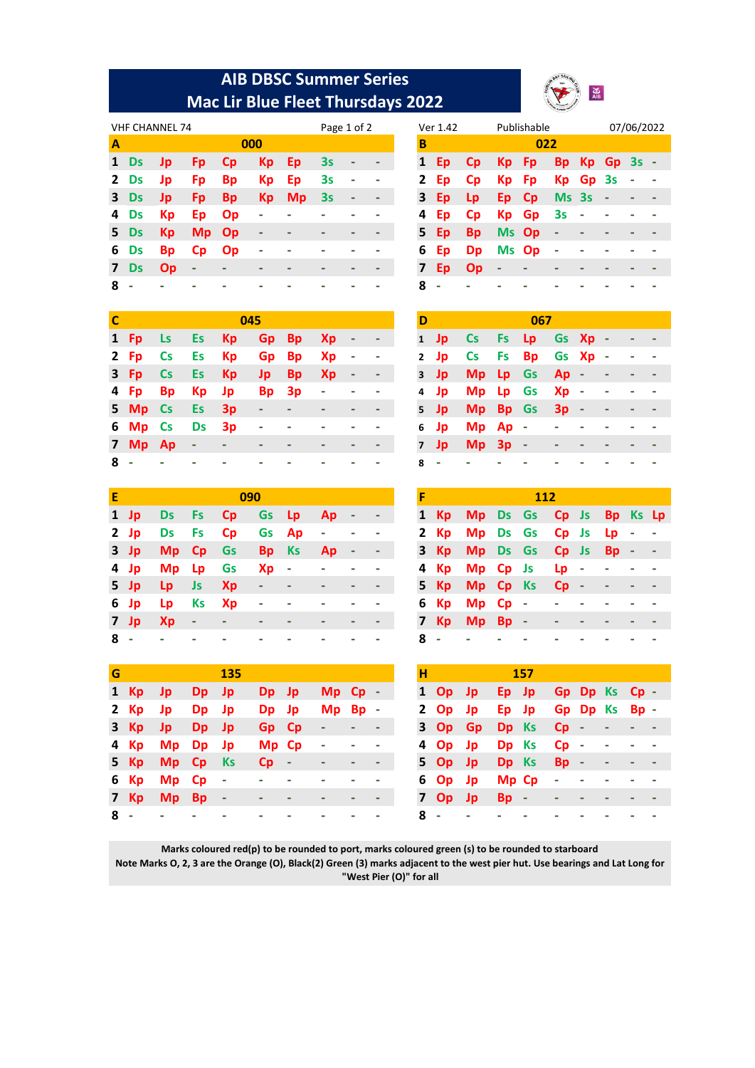## **AIB DBSC Summer Series Mac Lir Blue Fleet Thursdays 2022**



|                |           | <b>VHF CHANNEL 74</b> |                          |           |                          |           | Page 1 of 2 |                              |  |        | Ver 1.42 |           |                          | Publishable |                          |          |             | 07/06/20 |     |
|----------------|-----------|-----------------------|--------------------------|-----------|--------------------------|-----------|-------------|------------------------------|--|--------|----------|-----------|--------------------------|-------------|--------------------------|----------|-------------|----------|-----|
| $\mathbf{A}$   |           |                       |                          | 000       |                          |           |             |                              |  | В      |          |           |                          | 022         |                          |          |             |          |     |
| $\mathbf{1}$   | <b>Ds</b> | Jp                    | <b>Fp</b>                | <b>Cp</b> | Kp                       | Ep        | 3s          | ٠                            |  | 1      | Ep.      | <b>Cp</b> | Kp.                      | - Fp        |                          |          | Bp Kp Gp 3s |          | - 1 |
|                | 2 Ds      | Jp                    | <b>Fp</b>                | <b>Bp</b> | Kp                       | Ep        | 3s          | ٠                            |  | 2      | Ep       | <b>Cp</b> | Кp                       | <b>Fp</b>   |                          | Kp Gp 3s |             |          |     |
|                | 3 Ds      | <b>Jp</b>             | <b>Fp</b>                | <b>Bp</b> | <b>Kp</b>                | <b>Mp</b> | 3s          | $\qquad \qquad \blacksquare$ |  | 3      | Ep       | Lp.       | Ep Cp                    |             | Ms 3s                    |          | $\sim$      |          |     |
|                | 4 Ds      | <b>Kp</b>             | Ep                       | Op        | $\overline{\phantom{a}}$ |           |             |                              |  | 4      | Ep       | <b>Cp</b> |                          | Kp Gp 3s    |                          | $\sim$   |             |          |     |
|                | 5 Ds      | <b>Kp</b>             | Mp Op                    |           | $\overline{\phantom{a}}$ |           |             |                              |  | - 15 - | Ep       | <b>Bp</b> | Ms Op                    |             | $\overline{\phantom{a}}$ |          |             |          |     |
|                | 6 Ds      | <b>Bp</b>             | <b>Cp</b>                | <b>Op</b> | $\overline{\phantom{a}}$ |           |             |                              |  | 6      | Ep       | <b>Dp</b> | Ms Op                    |             | $\overline{\phantom{a}}$ |          |             |          |     |
| 7 <sup>7</sup> | <b>Ds</b> | <b>Op</b>             | $\overline{\phantom{a}}$ |           |                          |           |             |                              |  | 7      | Ep       | <b>Op</b> | $\overline{\phantom{a}}$ |             |                          |          |             |          |     |
| 8              |           |                       |                          |           |                          |           |             |                              |  | 8      |          |           |                          |             |                          |          |             |          |     |

|   | Ver 1.42 |           |           | Publishable |       |           |     | 07/06/2022 |  |
|---|----------|-----------|-----------|-------------|-------|-----------|-----|------------|--|
| В |          |           |           | 022         |       |           |     |            |  |
| 1 | Ep       | <b>Cp</b> | Кp        | Fp          | Вp    | <b>Kp</b> | Gp  | 3s         |  |
| 2 | Ep       | <b>Cp</b> | Кp        | Fp          | Кp    | Gp        | -3s |            |  |
| 3 | Ep       | Lp        | Ep        | <b>Cp</b>   | Ms 3s |           |     |            |  |
| 4 | Ep       | <b>Cp</b> | Кp        | Gp          | 3s    |           |     |            |  |
| 5 | Ep       | <b>Bp</b> | <b>Ms</b> | Op          |       |           |     |            |  |
| 6 | Ep       | Dp        | Ms        | Op          |       |           |     |            |  |
| 7 | Ep       | Op        |           |             |       |           |     |            |  |
| 8 |          |           |           |             |       |           |     |            |  |

| C   |               |           |       |                          | 045                                                   |         |                               |            |            |
|-----|---------------|-----------|-------|--------------------------|-------------------------------------------------------|---------|-------------------------------|------------|------------|
|     | 1 Fp          | <b>Ls</b> | Es Kp |                          |                                                       |         | Gp Bp Xp - -                  |            |            |
|     | 2 Fp Cs       |           | Es Kp |                          |                                                       | Gp Bp   | - Xp                          |            |            |
|     | 3 Fp Cs       |           | Es Kp |                          |                                                       | Jp Bp   | - Xp                          |            |            |
|     | 4 Fp Bp       |           |       | Kp Jp                    |                                                       | Bp 3p - |                               | $\sim 100$ |            |
|     | 5 Mp Cs       |           | Es 3p |                          | $\alpha$ , and $\alpha$ , and $\alpha$ , and $\alpha$ |         |                               | ٠          |            |
|     | 6 Mp Cs       |           | Ds 3p |                          |                                                       |         | the company of the company of | $\sim$     |            |
|     | $7$ Mp Ap $-$ |           |       | <b>Contract Contract</b> |                                                       |         | ٠                             | ٠          | $\sim 100$ |
| 8 - |               |           |       |                          |                                                       |         |                               |            |            |

| D              |           |               |           | 067       |        |       |        |  |
|----------------|-----------|---------------|-----------|-----------|--------|-------|--------|--|
| $\mathbf{1}$   | Jp        | $\mathsf{Cs}$ | <b>Fs</b> | - Lp      |        | Gs Xp | $\sim$ |  |
| $\mathbf{2}$   | Jp        | <b>Cs</b>     | Fs        | <b>Bp</b> | Gs Xp  |       | $\sim$ |  |
| 3              | <b>Jp</b> | Mp            | Lp        | Gs        | $Ap -$ |       |        |  |
| 4              | Jp.       | Mp            | - Lp      | Gs        | Xp -   |       |        |  |
| 5              | - Jp      | Mp            | – Bp      | <b>Gs</b> | $3p -$ |       |        |  |
| 6              | Jp        | Mp            | Ap        | - 1       |        |       |        |  |
| $\overline{7}$ | Jp.       | Mp            | $3p -$    |           |        |       |        |  |
| 8              |           |               |           |           |        |       |        |  |

| Е     |         |            |                             | 090   |                         |      |                          |            |     |                              | 112 |                 |  |  |
|-------|---------|------------|-----------------------------|-------|-------------------------|------|--------------------------|------------|-----|------------------------------|-----|-----------------|--|--|
|       | 1 Jp Ds |            | Fs Cp Gs Lp Ap -            |       |                         |      |                          |            |     | 1 Kp Mp Ds Gs Cp Js Bp Ks Lp |     |                 |  |  |
|       | $2$ Jp  |            | Ds Fs Cp Gs Ap - - -        |       |                         |      |                          |            |     | 2 Kp Mp Ds Gs Cp Js Lp - -   |     |                 |  |  |
|       |         |            | 3 Jp Mp Cp Gs               | Bp Ks |                         | - Ap |                          |            |     | 3 Kp Mp Ds Gs Cp Js Bp - -   |     |                 |  |  |
|       |         |            | 4 Jp Mp Lp Gs               |       | Xp - - -                |      |                          |            |     | 4 Kp Mp Cp Js Lp - - - -     |     |                 |  |  |
|       | 5 Jp Lp |            |                             |       |                         |      | $\overline{\phantom{a}}$ |            |     | 5 Kp Mp Cp Ks Cp - - - -     |     |                 |  |  |
|       | 6 Jp Lp |            | Ks Xp -                     |       | $\sim 100$ km s $^{-1}$ |      |                          |            |     | 6 Kp Mp Cp -                 |     | and the company |  |  |
|       | 7 Jp Xp | $\sim$ $-$ | $\mathcal{L} = \mathcal{L}$ |       |                         |      |                          | $\sim$ $-$ |     | 7 Kp Mp Bp -                 |     |                 |  |  |
| $8 -$ |         |            | $\overline{\phantom{a}}$    | ٠     |                         |      |                          |            | 8 - |                              |     |                 |  |  |

| F              |      |           |           | 112                     |        |           |        |  |
|----------------|------|-----------|-----------|-------------------------|--------|-----------|--------|--|
|                | 1 Kp |           |           | Mp Ds Gs Cp Js Bp Ks Lp |        |           |        |  |
|                | 2 Kp | Mp Ds Gs  |           |                         | Cp Js  | <b>Lp</b> |        |  |
|                | 3 Kp | Mp Ds Gs  |           |                         | Cp Js  | <b>Bp</b> | $\sim$ |  |
|                | 4 Kp | Mp Cp Js  |           |                         | Lp -   |           |        |  |
|                | 5 Kp | Mp Cp     |           | <b>Ks</b>               | $Cp -$ |           |        |  |
|                | 6 Kp | Mp        | <b>Cp</b> |                         |        |           |        |  |
| $\overline{7}$ | - Kp | <b>Mp</b> | - Bp      | $\sim$                  |        |           |        |  |
| 8              |      |           |           |                         |        |           |        |  |

| G   |      |            |       | <b>135</b> |        |                          |                          |                          | н |                |         |            | 157 |                     |               |  |
|-----|------|------------|-------|------------|--------|--------------------------|--------------------------|--------------------------|---|----------------|---------|------------|-----|---------------------|---------------|--|
|     | 1 Kp | - Jp       | Dp Jp |            | Dp Jp  | $Mp$ Cp $-$              |                          |                          |   | $1$ Op Jp      |         |            |     | Ep Jp Gp Dp Ks Cp - |               |  |
|     | 2 Kp | Jp.        | Dp Jp |            | Dp Jp  | $Mp$ Bp $-$              |                          |                          |   | $2$ Op Jp      |         |            |     | Ep Jp Gp Dp Ks Bp - |               |  |
|     | 3 Kp | - Jp       | Dp Jp |            | Gp Cp  | $\overline{\phantom{a}}$ | $\overline{\phantom{a}}$ |                          |   |                | 3 Op Gp | Dp Ks Cp - |     |                     | the company's |  |
|     | 4 Kp | Mp Dp Jp   |       |            | Mp Cp  | $\blacksquare$           | ٠                        |                          |   | 4 Op Jp        |         |            |     | Dp Ks Cp -          | $\sim$ $-$    |  |
|     |      | 5 Kp Mp Cp |       | – Ks       | $Cp -$ | ٠                        | ٠                        | ٠                        |   | 5 Op Jp        |         | Dp Ks      |     | $Bp -$              | ٠             |  |
|     | 6 Kp | Mp Cp      |       | $\sim$     |        |                          |                          |                          |   | 6 Op Jp        |         | Mp Cp      |     | $\sim$ $-$          |               |  |
|     | 7 Kp | Mp Bp      |       | $\sim$ $-$ |        |                          | -                        | $\overline{\phantom{a}}$ |   | 7 Op Jp        |         | $Bp -$     |     |                     |               |  |
| 8 - |      |            |       |            |        |                          |                          |                          | 8 | $\blacksquare$ |         |            |     |                     |               |  |

| н |           |           |       | 157 |           |          |        |  |
|---|-----------|-----------|-------|-----|-----------|----------|--------|--|
| 1 | Op Jp     |           | Ep Jp |     |           | Gp Dp Ks | $Cp -$ |  |
|   | $2$ Op    | <b>Jp</b> | Ep Jp |     |           | Gp Dp Ks | $Bp -$ |  |
|   | 3 Op      | Gp        | Dp Ks |     | Cp        |          |        |  |
|   | 4 Op Jp   |           | Dp Ks |     | <b>Cp</b> |          |        |  |
|   | 5 Op Jp   |           | Dp Ks |     | Bp -      |          |        |  |
|   | 6 Op      | - Jp      | Mp Cp |     |           |          |        |  |
| 7 | <b>Op</b> | - Jp      | Bp -  |     |           |          |        |  |
| Զ |           |           |       |     |           |          |        |  |

**Marks coloured red(p) to be rounded to port, marks coloured green (s) to be rounded to starboard Note Marks O, 2, 3 are the Orange (O), Black(2) Green (3) marks adjacent to the west pier hut. Use bearings and Lat Long for "West Pier (O)" for all**